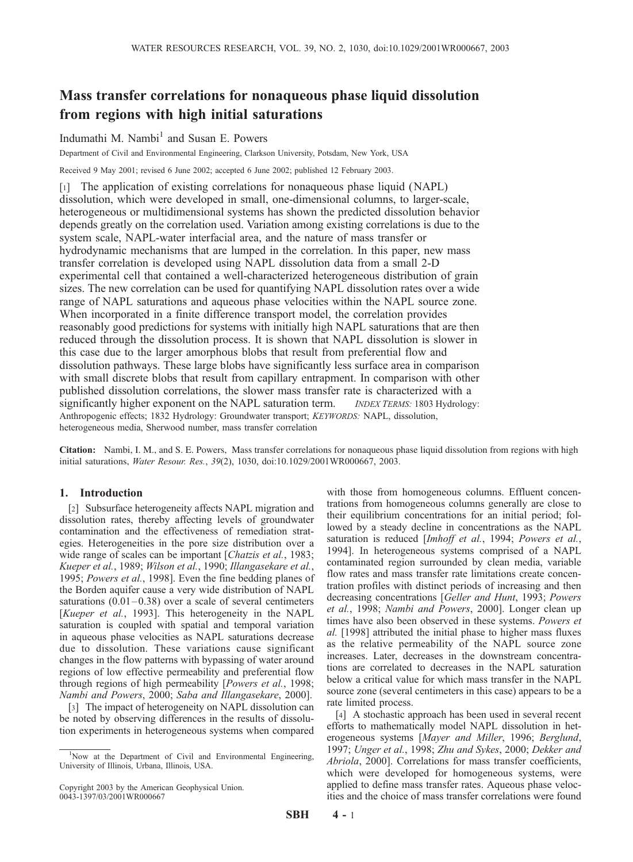# Mass transfer correlations for nonaqueous phase liquid dissolution from regions with high initial saturations

## Indumathi M. Nambi<sup>1</sup> and Susan E. Powers

Department of Civil and Environmental Engineering, Clarkson University, Potsdam, New York, USA

Received 9 May 2001; revised 6 June 2002; accepted 6 June 2002; published 12 February 2003.

[1] The application of existing correlations for nonaqueous phase liquid (NAPL) dissolution, which were developed in small, one-dimensional columns, to larger-scale, heterogeneous or multidimensional systems has shown the predicted dissolution behavior depends greatly on the correlation used. Variation among existing correlations is due to the system scale, NAPL-water interfacial area, and the nature of mass transfer or hydrodynamic mechanisms that are lumped in the correlation. In this paper, new mass transfer correlation is developed using NAPL dissolution data from a small 2-D experimental cell that contained a well-characterized heterogeneous distribution of grain sizes. The new correlation can be used for quantifying NAPL dissolution rates over a wide range of NAPL saturations and aqueous phase velocities within the NAPL source zone. When incorporated in a finite difference transport model, the correlation provides reasonably good predictions for systems with initially high NAPL saturations that are then reduced through the dissolution process. It is shown that NAPL dissolution is slower in this case due to the larger amorphous blobs that result from preferential flow and dissolution pathways. These large blobs have significantly less surface area in comparison with small discrete blobs that result from capillary entrapment. In comparison with other published dissolution correlations, the slower mass transfer rate is characterized with a significantly higher exponent on the NAPL saturation term. *INDEX TERMS:* 1803 Hydrology: Anthropogenic effects; 1832 Hydrology: Groundwater transport; *KEYWORDS:* NAPL, dissolution, heterogeneous media, Sherwood number, mass transfer correlation

Citation: Nambi, I. M., and S. E. Powers, Mass transfer correlations for nonaqueous phase liquid dissolution from regions with high initial saturations, *Water Resour. Res.*, *39*(2), 1030, doi:10.1029/2001WR000667, 2003.

## 1. Introduction

[2] Subsurface heterogeneity affects NAPL migration and dissolution rates, thereby affecting levels of groundwater contamination and the effectiveness of remediation strategies. Heterogeneities in the pore size distribution over a wide range of scales can be important [*Chatzis et al.*, 1983; *Kueper et al.*, 1989; *Wilson et al.*, 1990; *Illangasekare et al.*, 1995; *Powers et al.*, 1998]. Even the fine bedding planes of the Borden aquifer cause a very wide distribution of NAPL saturations  $(0.01 - 0.38)$  over a scale of several centimeters [*Kueper et al.*, 1993]. This heterogeneity in the NAPL saturation is coupled with spatial and temporal variation in aqueous phase velocities as NAPL saturations decrease due to dissolution. These variations cause significant changes in the flow patterns with bypassing of water around regions of low effective permeability and preferential flow through regions of high permeability [*Powers et al.*, 1998; *Nambi and Powers*, 2000; *Saba and Illangasekare*, 2000].

[3] The impact of heterogeneity on NAPL dissolution can be noted by observing differences in the results of dissolution experiments in heterogeneous systems when compared

Copyright 2003 by the American Geophysical Union. 0043-1397/03/2001WR000667

with those from homogeneous columns. Effluent concentrations from homogeneous columns generally are close to their equilibrium concentrations for an initial period; followed by a steady decline in concentrations as the NAPL saturation is reduced [*Imhoff et al.*, 1994; *Powers et al.*, 1994]. In heterogeneous systems comprised of a NAPL contaminated region surrounded by clean media, variable flow rates and mass transfer rate limitations create concentration profiles with distinct periods of increasing and then decreasing concentrations [*Geller and Hunt*, 1993; *Powers et al.*, 1998; *Nambi and Powers*, 2000]. Longer clean up times have also been observed in these systems. *Powers et al.* [1998] attributed the initial phase to higher mass fluxes as the relative permeability of the NAPL source zone increases. Later, decreases in the downstream concentrations are correlated to decreases in the NAPL saturation below a critical value for which mass transfer in the NAPL source zone (several centimeters in this case) appears to be a rate limited process.

[4] A stochastic approach has been used in several recent efforts to mathematically model NAPL dissolution in heterogeneous systems [*Mayer and Miller*, 1996; *Berglund*, 1997; *Unger et al.*, 1998; *Zhu and Sykes*, 2000; *Dekker and Abriola*, 2000]. Correlations for mass transfer coefficients, which were developed for homogeneous systems, were applied to define mass transfer rates. Aqueous phase velocities and the choice of mass transfer correlations were found

<sup>&</sup>lt;sup>1</sup>Now at the Department of Civil and Environmental Engineering, University of Illinois, Urbana, Illinois, USA.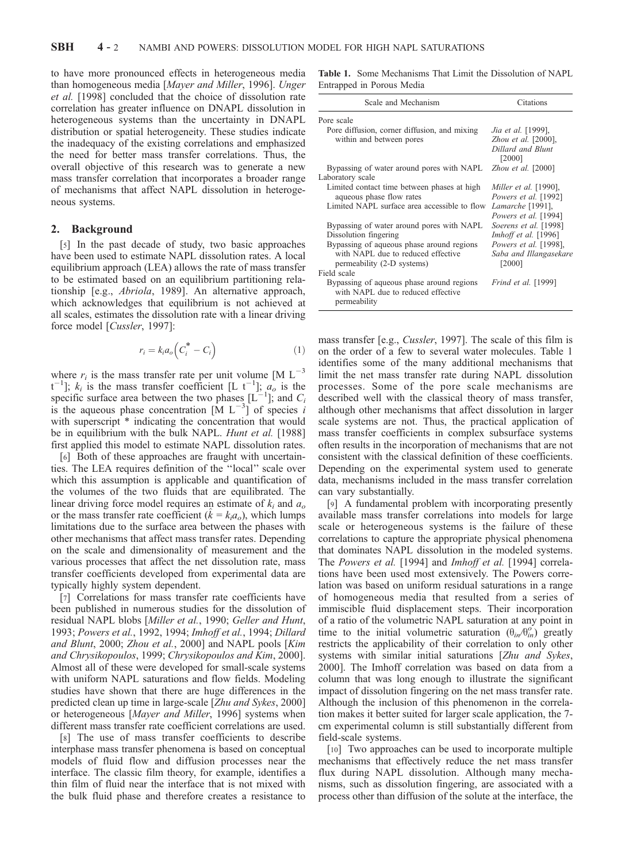to have more pronounced effects in heterogeneous media than homogeneous media [*Mayer and Miller*, 1996]. *Unger et al.* [1998] concluded that the choice of dissolution rate correlation has greater influence on DNAPL dissolution in heterogeneous systems than the uncertainty in DNAPL distribution or spatial heterogeneity. These studies indicate the inadequacy of the existing correlations and emphasized the need for better mass transfer correlations. Thus, the overall objective of this research was to generate a new mass transfer correlation that incorporates a broader range of mechanisms that affect NAPL dissolution in heterogeneous systems.

## 2. Background

[5] In the past decade of study, two basic approaches have been used to estimate NAPL dissolution rates. A local equilibrium approach (LEA) allows the rate of mass transfer to be estimated based on an equilibrium partitioning relationship [e.g., *Abriola*, 1989]. An alternative approach, which acknowledges that equilibrium is not achieved at all scales, estimates the dissolution rate with a linear driving force model [*Cussler*, 1997]:

$$
r_i = k_i a_o \left( C_i^* - C_i \right) \tag{1}
$$

where  $r_i$  is the mass transfer rate per unit volume  $[M L^{-3}]$  $t^{-1}$ ;  $k_i$  is the mass transfer coefficient [L  $t^{-1}$ ];  $a_o$  is the specific surface area between the two phases  $[L^{-1}]$ ; and  $C_i$ is the aqueous phase concentration  $\begin{bmatrix} M & L^{-3} \end{bmatrix}$  of species *i* with superscript  $*$  indicating the concentration that would be in equilibrium with the bulk NAPL. *Hunt et al.* [1988] first applied this model to estimate NAPL dissolution rates.

[6] Both of these approaches are fraught with uncertainties. The LEA requires definition of the ''local'' scale over which this assumption is applicable and quantification of the volumes of the two fluids that are equilibrated. The linear driving force model requires an estimate of *k<sup>i</sup>* and *a<sup>o</sup>* or the mass transfer rate coefficient ( $\hat{k} = k_i a_o$ ), which lumps limitations due to the surface area between the phases with other mechanisms that affect mass transfer rates. Depending on the scale and dimensionality of measurement and the various processes that affect the net dissolution rate, mass transfer coefficients developed from experimental data are typically highly system dependent.

[7] Correlations for mass transfer rate coefficients have been published in numerous studies for the dissolution of residual NAPL blobs [*Miller et al.*, 1990; *Geller and Hunt*, 1993; *Powers et al.*, 1992, 1994; *Imhoff et al.*, 1994; *Dillard and Blunt*, 2000; *Zhou et al.*, 2000] and NAPL pools [*Kim and Chrysikopoulos*, 1999; *Chrysikopoulos and Kim*, 2000]. Almost all of these were developed for small-scale systems with uniform NAPL saturations and flow fields. Modeling studies have shown that there are huge differences in the predicted clean up time in large-scale [*Zhu and Sykes*, 2000] or heterogeneous [*Mayer and Miller*, 1996] systems when different mass transfer rate coefficient correlations are used.

[8] The use of mass transfer coefficients to describe interphase mass transfer phenomena is based on conceptual models of fluid flow and diffusion processes near the interface. The classic film theory, for example, identifies a thin film of fluid near the interface that is not mixed with the bulk fluid phase and therefore creates a resistance to

Table 1. Some Mechanisms That Limit the Dissolution of NAPL Entrapped in Porous Media

| Scale and Mechanism                          | Citations                    |  |
|----------------------------------------------|------------------------------|--|
| Pore scale                                   |                              |  |
| Pore diffusion, corner diffusion, and mixing | Jia et al. [1999],           |  |
| within and between pores                     | Zhou et al. [2000],          |  |
|                                              | Dillard and Blunt<br>[2000]  |  |
| Bypassing of water around pores with NAPL    | Zhou et al. $[2000]$         |  |
| Laboratory scale                             |                              |  |
| Limited contact time between phases at high  | <i>Miller et al.</i> [1990], |  |
| aqueous phase flow rates                     | <i>Powers et al.</i> [1992]  |  |
| Limited NAPL surface area accessible to flow | Lamarche [1991],             |  |
|                                              | <i>Powers et al.</i> [1994]  |  |
| Bypassing of water around pores with NAPL    | Soerens et al. [1998]        |  |
| Dissolution fingering                        | Imhoff et al. $[1996]$       |  |
| Bypassing of aqueous phase around regions    | <i>Powers et al.</i> [1998], |  |
| with NAPL due to reduced effective           | Saba and Illangasekare       |  |
| permeability (2-D systems)                   | [2000]                       |  |
| Field scale                                  |                              |  |
| Bypassing of aqueous phase around regions    | <i>Frind et al.</i> [1999]   |  |
| with NAPL due to reduced effective           |                              |  |
| permeability                                 |                              |  |

mass transfer [e.g., *Cussler*, 1997]. The scale of this film is on the order of a few to several water molecules. Table 1 identifies some of the many additional mechanisms that limit the net mass transfer rate during NAPL dissolution processes. Some of the pore scale mechanisms are described well with the classical theory of mass transfer, although other mechanisms that affect dissolution in larger scale systems are not. Thus, the practical application of mass transfer coefficients in complex subsurface systems often results in the incorporation of mechanisms that are not consistent with the classical definition of these coefficients. Depending on the experimental system used to generate data, mechanisms included in the mass transfer correlation can vary substantially.

[9] A fundamental problem with incorporating presently available mass transfer correlations into models for large scale or heterogeneous systems is the failure of these correlations to capture the appropriate physical phenomena that dominates NAPL dissolution in the modeled systems. The *Powers et al.* [1994] and *Imhoff et al.* [1994] correlations have been used most extensively. The Powers correlation was based on uniform residual saturations in a range of homogeneous media that resulted from a series of immiscible fluid displacement steps. Their incorporation of a ratio of the volumetric NAPL saturation at any point in time to the initial volumetric saturation  $(\theta_{in}/\theta_{in}^o)$  greatly restricts the applicability of their correlation to only other systems with similar initial saturations [*Zhu and Sykes*, 2000]. The Imhoff correlation was based on data from a column that was long enough to illustrate the significant impact of dissolution fingering on the net mass transfer rate. Although the inclusion of this phenomenon in the correlation makes it better suited for larger scale application, the 7 cm experimental column is still substantially different from field-scale systems.

[10] Two approaches can be used to incorporate multiple mechanisms that effectively reduce the net mass transfer flux during NAPL dissolution. Although many mechanisms, such as dissolution fingering, are associated with a process other than diffusion of the solute at the interface, the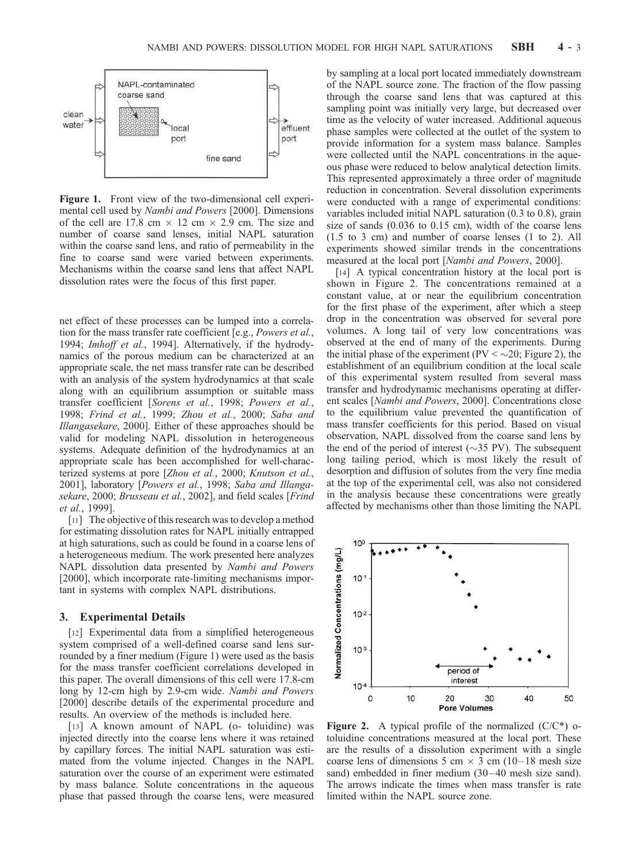

Figure 1. Front view of the two-dimensional cell experimental cell used by *Nambi and Powers* [2000]. Dimensions of the cell are 17.8 cm  $\times$  12 cm  $\times$  2.9 cm. The size and number of coarse sand lenses, initial NAPL saturation within the coarse sand lens, and ratio of permeability in the fine to coarse sand were varied between experiments. Mechanisms within the coarse sand lens that affect NAPL dissolution rates were the focus of this first paper.

net effect of these processes can be lumped into a correlation for the mass transfer rate coefficient [e.g., *Powers et al.*, 1994; *Imhoff et al.*, 1994]. Alternatively, if the hydrodynamics of the porous medium can be characterized at an appropriate scale, the net mass transfer rate can be described with an analysis of the system hydrodynamics at that scale along with an equilibrium assumption or suitable mass transfer coefficient [*Sorens et al.*, 1998; *Powers et al.*, 1998; *Frind et al.*, 1999; *Zhou et al.*, 2000; *Saba and Illangasekare*, 2000]. Either of these approaches should be valid for modeling NAPL dissolution in heterogeneous systems. Adequate definition of the hydrodynamics at an appropriate scale has been accomplished for well-characterized systems at pore [*Zhou et al.*, 2000; *Knutson et al.*, 2001], laboratory [*Powers et al.*, 1998; *Saba and Illangasekare*, 2000; *Brusseau et al.*, 2002], and field scales [*Frind et al.*, 1999].

[11] The objective of this research was to develop a method for estimating dissolution rates for NAPL initially entrapped at high saturations, such as could be found in a coarse lens of a heterogeneous medium. The work presented here analyzes NAPL dissolution data presented by *Nambi and Powers* [2000], which incorporate rate-limiting mechanisms important in systems with complex NAPL distributions.

#### 3. Experimental Details

[12] Experimental data from a simplified heterogeneous system comprised of a well-defined coarse sand lens surrounded by a finer medium (Figure 1) were used as the basis for the mass transfer coefficient correlations developed in this paper. The overall dimensions of this cell were 17.8-cm long by 12-cm high by 2.9-cm wide. *Nambi and Powers* [2000] describe details of the experimental procedure and results. An overview of the methods is included here.

[13] A known amount of NAPL (o- toluidine) was injected directly into the coarse lens where it was retained by capillary forces. The initial NAPL saturation was estimated from the volume injected. Changes in the NAPL saturation over the course of an experiment were estimated by mass balance. Solute concentrations in the aqueous phase that passed through the coarse lens, were measured

by sampling at a local port located immediately downstream of the NAPL source zone. The fraction of the flow passing through the coarse sand lens that was captured at this sampling point was initially very large, but decreased over time as the velocity of water increased. Additional aqueous phase samples were collected at the outlet of the system to provide information for a system mass balance. Samples were collected until the NAPL concentrations in the aqueous phase were reduced to below analytical detection limits. This represented approximately a three order of magnitude reduction in concentration. Several dissolution experiments were conducted with a range of experimental conditions: variables included initial NAPL saturation (0.3 to 0.8), grain size of sands (0.036 to 0.15 cm), width of the coarse lens (1.5 to 3 cm) and number of coarse lenses (1 to 2). All experiments showed similar trends in the concentrations measured at the local port [*Nambi and Powers*, 2000].

[14] A typical concentration history at the local port is shown in Figure 2. The concentrations remained at a constant value, at or near the equilibrium concentration for the first phase of the experiment, after which a steep drop in the concentration was observed for several pore volumes. A long tail of very low concentrations was observed at the end of many of the experiments. During the initial phase of the experiment ( $PV < \sim 20$ ; Figure 2), the establishment of an equilibrium condition at the local scale of this experimental system resulted from several mass transfer and hydrodynamic mechanisms operating at different scales [*Nambi and Powers*, 2000]. Concentrations close to the equilibrium value prevented the quantification of mass transfer coefficients for this period. Based on visual observation, NAPL dissolved from the coarse sand lens by the end of the period of interest ( $\sim$ 35 PV). The subsequent long tailing period, which is most likely the result of desorption and diffusion of solutes from the very fine media at the top of the experimental cell, was also not considered in the analysis because these concentrations were greatly affected by mechanisms other than those limiting the NAPL



**Figure 2.** A typical profile of the normalized  $(C/C^*)$  otoluidine concentrations measured at the local port. These are the results of a dissolution experiment with a single coarse lens of dimensions 5 cm  $\times$  3 cm (10–18 mesh size sand) embedded in finer medium (30–40 mesh size sand). The arrows indicate the times when mass transfer is rate limited within the NAPL source zone.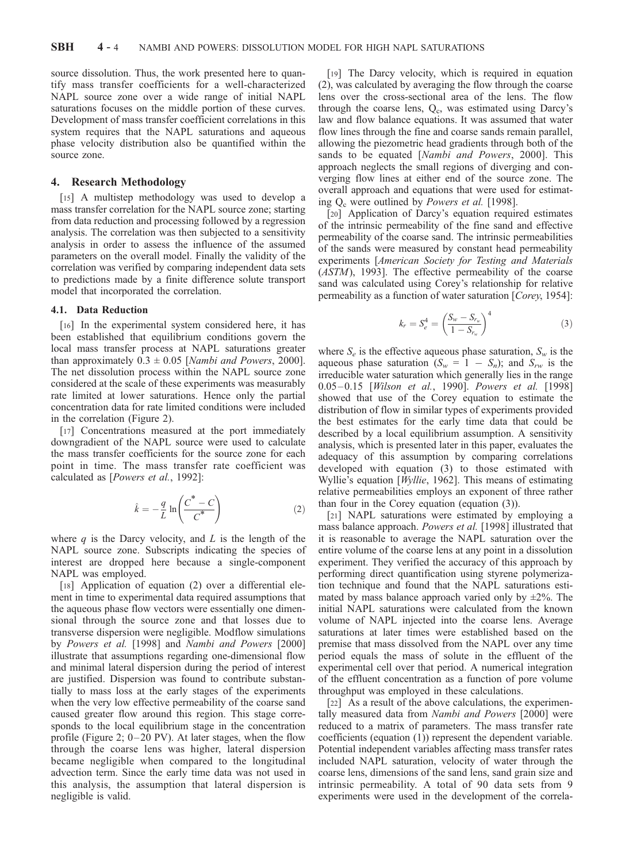source dissolution. Thus, the work presented here to quantify mass transfer coefficients for a well-characterized NAPL source zone over a wide range of initial NAPL saturations focuses on the middle portion of these curves. Development of mass transfer coefficient correlations in this system requires that the NAPL saturations and aqueous phase velocity distribution also be quantified within the source zone.

## 4. Research Methodology

[15] A multistep methodology was used to develop a mass transfer correlation for the NAPL source zone; starting from data reduction and processing followed by a regression analysis. The correlation was then subjected to a sensitivity analysis in order to assess the influence of the assumed parameters on the overall model. Finally the validity of the correlation was verified by comparing independent data sets to predictions made by a finite difference solute transport model that incorporated the correlation.

## 4.1. Data Reduction

[16] In the experimental system considered here, it has been established that equilibrium conditions govern the local mass transfer process at NAPL saturations greater than approximately  $0.3 \pm 0.05$  [*Nambi and Powers*, 2000]. The net dissolution process within the NAPL source zone considered at the scale of these experiments was measurably rate limited at lower saturations. Hence only the partial concentration data for rate limited conditions were included in the correlation (Figure 2).

[17] Concentrations measured at the port immediately downgradient of the NAPL source were used to calculate the mass transfer coefficients for the source zone for each point in time. The mass transfer rate coefficient was calculated as [*Powers et al.*, 1992]:

$$
\hat{k} = -\frac{q}{L} \ln \left( \frac{C^* - C}{C^*} \right) \tag{2}
$$

where *q* is the Darcy velocity, and *L* is the length of the NAPL source zone. Subscripts indicating the species of interest are dropped here because a single-component NAPL was employed.

[18] Application of equation (2) over a differential element in time to experimental data required assumptions that the aqueous phase flow vectors were essentially one dimensional through the source zone and that losses due to transverse dispersion were negligible. Modflow simulations by *Powers et al.* [1998] and *Nambi and Powers* [2000] illustrate that assumptions regarding one-dimensional flow and minimal lateral dispersion during the period of interest are justified. Dispersion was found to contribute substantially to mass loss at the early stages of the experiments when the very low effective permeability of the coarse sand caused greater flow around this region. This stage corresponds to the local equilibrium stage in the concentration profile (Figure 2;  $0-20$  PV). At later stages, when the flow through the coarse lens was higher, lateral dispersion became negligible when compared to the longitudinal advection term. Since the early time data was not used in this analysis, the assumption that lateral dispersion is negligible is valid.

[19] The Darcy velocity, which is required in equation (2), was calculated by averaging the flow through the coarse lens over the cross-sectional area of the lens. The flow through the coarse lens, Q<sub>c</sub>, was estimated using Darcy's law and flow balance equations. It was assumed that water flow lines through the fine and coarse sands remain parallel, allowing the piezometric head gradients through both of the sands to be equated [*Nambi and Powers*, 2000]. This approach neglects the small regions of diverging and converging flow lines at either end of the source zone. The overall approach and equations that were used for estimating Q<sup>c</sup> were outlined by *Powers et al.* [1998].

[20] Application of Darcy's equation required estimates of the intrinsic permeability of the fine sand and effective permeability of the coarse sand. The intrinsic permeabilities of the sands were measured by constant head permeability experiments [*American Society for Testing and Materials* (*ASTM*), 1993]. The effective permeability of the coarse sand was calculated using Corey's relationship for relative permeability as a function of water saturation [*Corey*, 1954]:

$$
k_r = S_e^4 = \left(\frac{S_w - S_{r_w}}{1 - S_{r_w}}\right)^4
$$
\n(3)

where  $S_e$  is the effective aqueous phase saturation,  $S_w$  is the aqueous phase saturation  $(S_w = 1 - S_n)$ ; and  $S_{rw}$  is the irreducible water saturation which generally lies in the range 0.05 – 0.15 [*Wilson et al.*, 1990]. *Powers et al.* [1998] showed that use of the Corey equation to estimate the distribution of flow in similar types of experiments provided the best estimates for the early time data that could be described by a local equilibrium assumption. A sensitivity analysis, which is presented later in this paper, evaluates the adequacy of this assumption by comparing correlations developed with equation (3) to those estimated with Wyllie's equation [*Wyllie*, 1962]. This means of estimating relative permeabilities employs an exponent of three rather than four in the Corey equation (equation (3)).

[21] NAPL saturations were estimated by employing a mass balance approach. *Powers et al.* [1998] illustrated that it is reasonable to average the NAPL saturation over the entire volume of the coarse lens at any point in a dissolution experiment. They verified the accuracy of this approach by performing direct quantification using styrene polymerization technique and found that the NAPL saturations estimated by mass balance approach varied only by  $\pm 2\%$ . The initial NAPL saturations were calculated from the known volume of NAPL injected into the coarse lens. Average saturations at later times were established based on the premise that mass dissolved from the NAPL over any time period equals the mass of solute in the effluent of the experimental cell over that period. A numerical integration of the effluent concentration as a function of pore volume throughput was employed in these calculations.

[22] As a result of the above calculations, the experimentally measured data from *Nambi and Powers* [2000] were reduced to a matrix of parameters. The mass transfer rate coefficients (equation (1)) represent the dependent variable. Potential independent variables affecting mass transfer rates included NAPL saturation, velocity of water through the coarse lens, dimensions of the sand lens, sand grain size and intrinsic permeability. A total of 90 data sets from 9 experiments were used in the development of the correla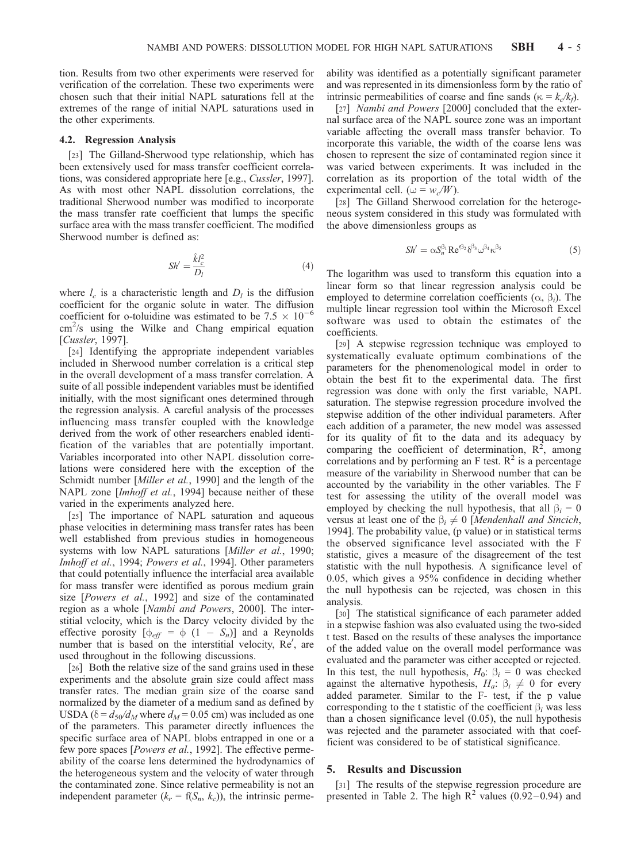tion. Results from two other experiments were reserved for verification of the correlation. These two experiments were chosen such that their initial NAPL saturations fell at the extremes of the range of initial NAPL saturations used in the other experiments.

#### 4.2. Regression Analysis

[23] The Gilland-Sherwood type relationship, which has been extensively used for mass transfer coefficient correlations, was considered appropriate here [e.g., *Cussler*, 1997]. As with most other NAPL dissolution correlations, the traditional Sherwood number was modified to incorporate the mass transfer rate coefficient that lumps the specific surface area with the mass transfer coefficient. The modified Sherwood number is defined as:

$$
Sh' = \frac{\hat{k}l_c^2}{D_l} \tag{4}
$$

where  $l_c$  is a characteristic length and  $D_l$  is the diffusion coefficient for the organic solute in water. The diffusion coefficient for o-toluidine was estimated to be 7.5  $\times$  10<sup>-6</sup>  $\text{cm}^2\text{/s}$  using the Wilke and Chang empirical equation [*Cussler*, 1997].

[24] Identifying the appropriate independent variables included in Sherwood number correlation is a critical step in the overall development of a mass transfer correlation. A suite of all possible independent variables must be identified initially, with the most significant ones determined through the regression analysis. A careful analysis of the processes influencing mass transfer coupled with the knowledge derived from the work of other researchers enabled identification of the variables that are potentially important. Variables incorporated into other NAPL dissolution correlations were considered here with the exception of the Schmidt number [*Miller et al.*, 1990] and the length of the NAPL zone [*Imhoff et al.*, 1994] because neither of these varied in the experiments analyzed here.

[25] The importance of NAPL saturation and aqueous phase velocities in determining mass transfer rates has been well established from previous studies in homogeneous systems with low NAPL saturations [*Miller et al.*, 1990; *Imhoff et al.*, 1994; *Powers et al.*, 1994]. Other parameters that could potentially influence the interfacial area available for mass transfer were identified as porous medium grain size [*Powers et al.*, 1992] and size of the contaminated region as a whole [*Nambi and Powers*, 2000]. The interstitial velocity, which is the Darcy velocity divided by the effective porosity  $[\phi_{\text{eff}} = \phi (1 - S_n)]$  and a Reynolds number that is based on the interstitial velocity, Re', are used throughout in the following discussions.

[26] Both the relative size of the sand grains used in these experiments and the absolute grain size could affect mass transfer rates. The median grain size of the coarse sand normalized by the diameter of a medium sand as defined by USDA ( $\delta = d_{50}/d_M$  where  $d_M = 0.05$  cm) was included as one of the parameters. This parameter directly influences the specific surface area of NAPL blobs entrapped in one or a few pore spaces [*Powers et al.*, 1992]. The effective permeability of the coarse lens determined the hydrodynamics of the heterogeneous system and the velocity of water through the contaminated zone. Since relative permeability is not an independent parameter  $(k_r = f(S_n, k_c))$ , the intrinsic permeability was identified as a potentially significant parameter and was represented in its dimensionless form by the ratio of intrinsic permeabilities of coarse and fine sands ( $\kappa = k_c / k_f$ ).

[27] *Nambi and Powers* [2000] concluded that the external surface area of the NAPL source zone was an important variable affecting the overall mass transfer behavior. To incorporate this variable, the width of the coarse lens was chosen to represent the size of contaminated region since it was varied between experiments. It was included in the correlation as its proportion of the total width of the experimental cell. ( $\omega = w_c/W$ ).

[28] The Gilland Sherwood correlation for the heterogeneous system considered in this study was formulated with the above dimensionless groups as

$$
Sh' = \alpha S_n^{\beta_1} \text{Re}^{\prime \beta_2} \delta^{\beta_3} \omega^{\beta_4} \kappa^{\beta_5} \tag{5}
$$

The logarithm was used to transform this equation into a linear form so that linear regression analysis could be employed to determine correlation coefficients  $(\alpha, \beta_i)$ . The multiple linear regression tool within the Microsoft Excel software was used to obtain the estimates of the coefficients.

[29] A stepwise regression technique was employed to systematically evaluate optimum combinations of the parameters for the phenomenological model in order to obtain the best fit to the experimental data. The first regression was done with only the first variable, NAPL saturation. The stepwise regression procedure involved the stepwise addition of the other individual parameters. After each addition of a parameter, the new model was assessed for its quality of fit to the data and its adequacy by comparing the coefficient of determination,  $R^2$ , among correlations and by performing an F test.  $\mathbb{R}^2$  is a percentage measure of the variability in Sherwood number that can be accounted by the variability in the other variables. The F test for assessing the utility of the overall model was employed by checking the null hypothesis, that all  $\beta_i = 0$ versus at least one of the  $\beta_i \neq 0$  [*Mendenhall and Sincich*, 1994]. The probability value, (p value) or in statistical terms the observed significance level associated with the F statistic, gives a measure of the disagreement of the test statistic with the null hypothesis. A significance level of 0.05, which gives a 95% confidence in deciding whether the null hypothesis can be rejected, was chosen in this analysis.

[30] The statistical significance of each parameter added in a stepwise fashion was also evaluated using the two-sided t test. Based on the results of these analyses the importance of the added value on the overall model performance was evaluated and the parameter was either accepted or rejected. In this test, the null hypothesis,  $H_0$ :  $\beta_i = 0$  was checked against the alternative hypothesis,  $H_a$ :  $\beta_i \neq 0$  for every added parameter. Similar to the F- test, if the p value corresponding to the t statistic of the coefficient  $\beta$ <sub>*i*</sub> was less than a chosen significance level (0.05), the null hypothesis was rejected and the parameter associated with that coefficient was considered to be of statistical significance.

#### 5. Results and Discussion

[31] The results of the stepwise regression procedure are presented in Table 2. The high  $R^2$  values (0.92–0.94) and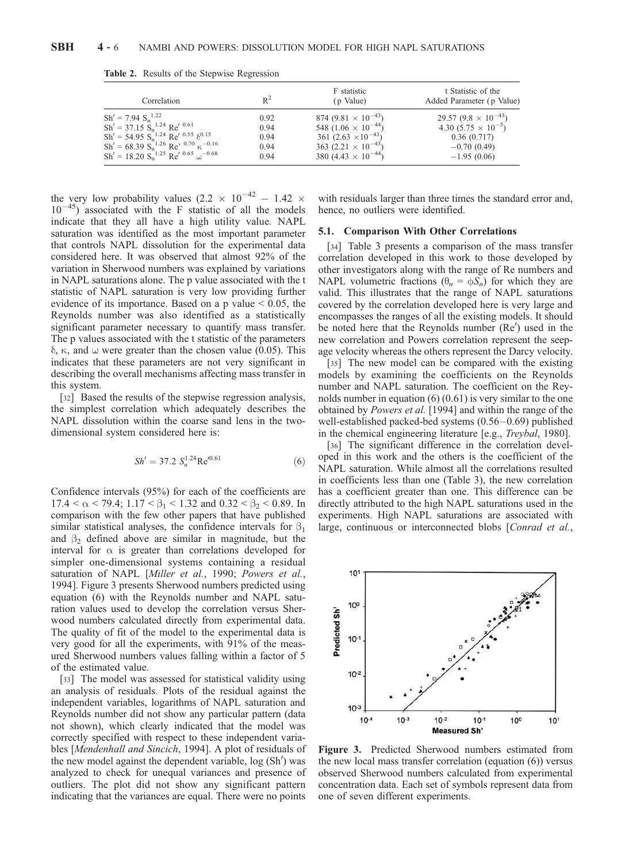| Correlation                                 | $R^2$ | F statistic<br>(p Value)               | t Statistic of the<br>Added Parameter (p Value) |
|---------------------------------------------|-------|----------------------------------------|-------------------------------------------------|
| $Sh' = 7.94 S_n^{1.22}$                     | 0.92  | 874 (9.81 $\times$ 10 <sup>-43</sup> ) | 29.57 $(9.8 \times 10^{-43})$                   |
| $Sh' = 37.15 Sn1.24 Re' 0.61$               | 0.94  | 548 $(1.06 \times 10^{-44})$           | 4.30 $(5.75 \times 10^{-5})$                    |
| $Sh' = 54.95 Sn1.24 Re' 0.55 \delta^{0.15}$ | 0.94  | 361 $(2.63 \times 10^{-43})$           | 0.36(0.717)                                     |
| $Sh' = 68.39 Sn-1.26 Re3 0.70 \kappa-0.16$  | 0.94  | 363 $(2.21 \times 10^{-43})$           | $-0.70(0.49)$                                   |
| $Sh' = 18.20 Sn1.25 Re' 0.65 \omega-0.68$   | 0.94  | 380 (4.43 $\times$ 10 <sup>-44</sup> ) | $-1.95(0.06)$                                   |

Table 2. Results of the Stepwise Regression

the very low probability values  $(2.2 \times 10^{-42} - 1.42 \times$  $10^{-45}$ ) associated with the F statistic of all the models indicate that they all have a high utility value. NAPL saturation was identified as the most important parameter that controls NAPL dissolution for the experimental data considered here. It was observed that almost 92% of the variation in Sherwood numbers was explained by variations in NAPL saturations alone. The p value associated with the t statistic of NAPL saturation is very low providing further evidence of its importance. Based on a p value  $< 0.05$ , the Reynolds number was also identified as a statistically significant parameter necessary to quantify mass transfer. The p values associated with the t statistic of the parameters  $\delta$ ,  $\kappa$ , and  $\omega$  were greater than the chosen value (0.05). This indicates that these parameters are not very significant in describing the overall mechanisms affecting mass transfer in this system.

[32] Based the results of the stepwise regression analysis, the simplest correlation which adequately describes the NAPL dissolution within the coarse sand lens in the twodimensional system considered here is:

$$
Sh' = 37.2 S_n^{1.24} \text{Re}'^{0.61}
$$
 (6)

Confidence intervals (95%) for each of the coefficients are  $17.4 < \alpha < 79.4$ ;  $1.17 < \beta_1 < 1.32$  and  $0.32 < \beta_2 < 0.89$ . In comparison with the few other papers that have published similar statistical analyses, the confidence intervals for  $\beta_1$ and  $\beta_2$  defined above are similar in magnitude, but the interval for  $\alpha$  is greater than correlations developed for simpler one-dimensional systems containing a residual saturation of NAPL [*Miller et al.*, 1990; *Powers et al.*, 1994]. Figure 3 presents Sherwood numbers predicted using equation (6) with the Reynolds number and NAPL saturation values used to develop the correlation versus Sherwood numbers calculated directly from experimental data. The quality of fit of the model to the experimental data is very good for all the experiments, with 91% of the measured Sherwood numbers values falling within a factor of 5 of the estimated value.

[33] The model was assessed for statistical validity using an analysis of residuals. Plots of the residual against the independent variables, logarithms of NAPL saturation and Reynolds number did not show any particular pattern (data not shown), which clearly indicated that the model was correctly specified with respect to these independent variables [*Mendenhall and Sincich*, 1994]. A plot of residuals of the new model against the dependent variable, log (Sh') was analyzed to check for unequal variances and presence of outliers. The plot did not show any significant pattern indicating that the variances are equal. There were no points

with residuals larger than three times the standard error and, hence, no outliers were identified.

#### 5.1. Comparison With Other Correlations

[34] Table 3 presents a comparison of the mass transfer correlation developed in this work to those developed by other investigators along with the range of Re numbers and NAPL volumetric fractions  $(\theta_n = \phi S_n)$  for which they are valid. This illustrates that the range of NAPL saturations covered by the correlation developed here is very large and encompasses the ranges of all the existing models. It should be noted here that the Reynolds number (Re') used in the new correlation and Powers correlation represent the seepage velocity whereas the others represent the Darcy velocity.

[35] The new model can be compared with the existing models by examining the coefficients on the Reynolds number and NAPL saturation. The coefficient on the Reynolds number in equation (6) (0.61) is very similar to the one obtained by *Powers et al.* [1994] and within the range of the well-established packed-bed systems  $(0.56-0.69)$  published in the chemical engineering literature [e.g., *Treybal*, 1980].

[36] The significant difference in the correlation developed in this work and the others is the coefficient of the NAPL saturation. While almost all the correlations resulted in coefficients less than one (Table 3), the new correlation has a coefficient greater than one. This difference can be directly attributed to the high NAPL saturations used in the experiments. High NAPL saturations are associated with large, continuous or interconnected blobs [*Conrad et al.*,



Figure 3. Predicted Sherwood numbers estimated from the new local mass transfer correlation (equation (6)) versus observed Sherwood numbers calculated from experimental concentration data. Each set of symbols represent data from one of seven different experiments.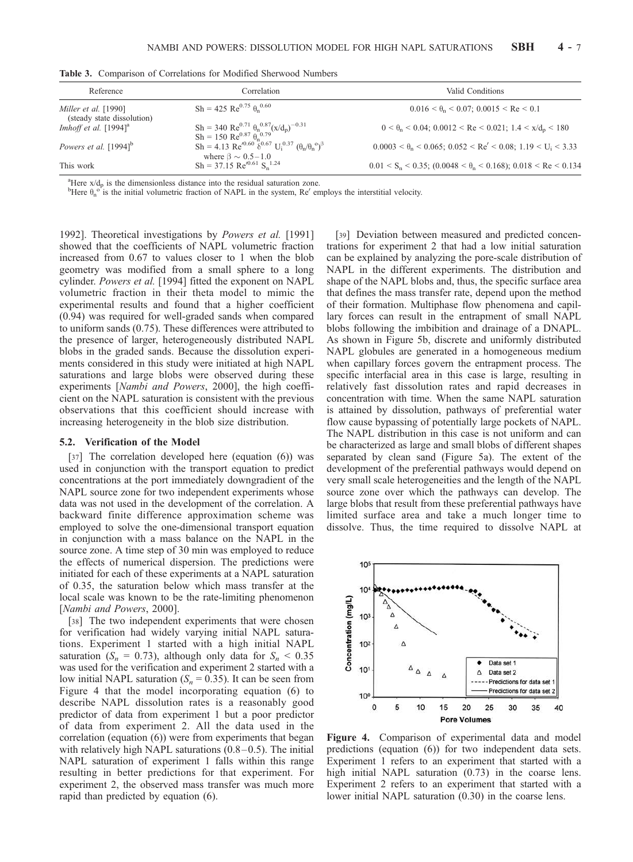| Reference                                                 | Correlation                                                                                                                                                                                  | Valid Conditions                                                                       |  |  |
|-----------------------------------------------------------|----------------------------------------------------------------------------------------------------------------------------------------------------------------------------------------------|----------------------------------------------------------------------------------------|--|--|
| <i>Miller et al.</i> [1990]<br>(steady state dissolution) | $Sh = 425 \text{ Re}^{0.75} \theta_n^{0.60}$                                                                                                                                                 | $0.016 < \theta_{\rm n} < 0.07$ ; $0.0015 < \text{Re} < 0.1$                           |  |  |
| Imhoff et al. $[1994]$ <sup>a</sup>                       | Sh = 340 Re <sup>0.71</sup> $\theta_n^{0.87} (x/d_p)^{-0.31}$<br>$Sh = 150 \text{ Re}^{0.87} \theta_n^{0.79}$                                                                                | $0 < \theta_n < 0.04$ ; $0.0012 < Re < 0.021$ ; $1.4 < x/d_p < 180$                    |  |  |
| Powers et al. $[1994]$ <sup>b</sup>                       | Sh = 4.13 Re <sup><math>(0.60 \ \frac{\delta}{6})^{0.67}</math> U<sub>i</sub><math>^{0.37}</math> (<math>\theta_n/\theta_n^{\circ}</math>)<sup>3</sup></sup><br>where $\beta \sim 0.5 - 1.0$ | $0.0003 < \theta_n < 0.065$ ; $0.052 < Re' < 0.08$ ; $1.19 < U_i < 3.33$               |  |  |
| This work                                                 | $Sh = 37.15 \text{ Re}'^{0.61}$ S <sub>n</sub> <sup>1.24</sup>                                                                                                                               | $0.01 \le S_n \le 0.35$ ; $(0.0048 \le \theta_n \le 0.168)$ ; $0.018 \le Re \le 0.134$ |  |  |

Table 3. Comparison of Correlations for Modified Sherwood Numbers

<sup>a</sup>Here  $x/d_p$  is the dimensionless distance into the residual saturation zone.

<sup>b</sup>Here  $\theta_n^o$  is the initial volumetric fraction of NAPL in the system, Re' employs the interstitial velocity.

1992]. Theoretical investigations by *Powers et al.* [1991] showed that the coefficients of NAPL volumetric fraction increased from 0.67 to values closer to 1 when the blob geometry was modified from a small sphere to a long cylinder. *Powers et al.* [1994] fitted the exponent on NAPL volumetric fraction in their theta model to mimic the experimental results and found that a higher coefficient (0.94) was required for well-graded sands when compared to uniform sands (0.75). These differences were attributed to the presence of larger, heterogeneously distributed NAPL blobs in the graded sands. Because the dissolution experiments considered in this study were initiated at high NAPL saturations and large blobs were observed during these experiments [*Nambi and Powers*, 2000], the high coefficient on the NAPL saturation is consistent with the previous observations that this coefficient should increase with increasing heterogeneity in the blob size distribution.

#### 5.2. Verification of the Model

[37] The correlation developed here (equation (6)) was used in conjunction with the transport equation to predict concentrations at the port immediately downgradient of the NAPL source zone for two independent experiments whose data was not used in the development of the correlation. A backward finite difference approximation scheme was employed to solve the one-dimensional transport equation in conjunction with a mass balance on the NAPL in the source zone. A time step of 30 min was employed to reduce the effects of numerical dispersion. The predictions were initiated for each of these experiments at a NAPL saturation of 0.35, the saturation below which mass transfer at the local scale was known to be the rate-limiting phenomenon [*Nambi and Powers*, 2000].

[38] The two independent experiments that were chosen for verification had widely varying initial NAPL saturations. Experiment 1 started with a high initial NAPL saturation ( $S_n = 0.73$ ), although only data for  $S_n < 0.35$ was used for the verification and experiment 2 started with a low initial NAPL saturation  $(S_n = 0.35)$ . It can be seen from Figure 4 that the model incorporating equation (6) to describe NAPL dissolution rates is a reasonably good predictor of data from experiment 1 but a poor predictor of data from experiment 2. All the data used in the correlation (equation (6)) were from experiments that began with relatively high NAPL saturations  $(0.8-0.5)$ . The initial NAPL saturation of experiment 1 falls within this range resulting in better predictions for that experiment. For experiment 2, the observed mass transfer was much more rapid than predicted by equation (6).

[39] Deviation between measured and predicted concentrations for experiment 2 that had a low initial saturation can be explained by analyzing the pore-scale distribution of NAPL in the different experiments. The distribution and shape of the NAPL blobs and, thus, the specific surface area that defines the mass transfer rate, depend upon the method of their formation. Multiphase flow phenomena and capillary forces can result in the entrapment of small NAPL blobs following the imbibition and drainage of a DNAPL. As shown in Figure 5b, discrete and uniformly distributed NAPL globules are generated in a homogeneous medium when capillary forces govern the entrapment process. The specific interfacial area in this case is large, resulting in relatively fast dissolution rates and rapid decreases in concentration with time. When the same NAPL saturation is attained by dissolution, pathways of preferential water flow cause bypassing of potentially large pockets of NAPL. The NAPL distribution in this case is not uniform and can be characterized as large and small blobs of different shapes separated by clean sand (Figure 5a). The extent of the development of the preferential pathways would depend on very small scale heterogeneities and the length of the NAPL source zone over which the pathways can develop. The large blobs that result from these preferential pathways have limited surface area and take a much longer time to dissolve. Thus, the time required to dissolve NAPL at



Figure 4. Comparison of experimental data and model predictions (equation (6)) for two independent data sets. Experiment 1 refers to an experiment that started with a high initial NAPL saturation  $(0.73)$  in the coarse lens. Experiment 2 refers to an experiment that started with a lower initial NAPL saturation (0.30) in the coarse lens.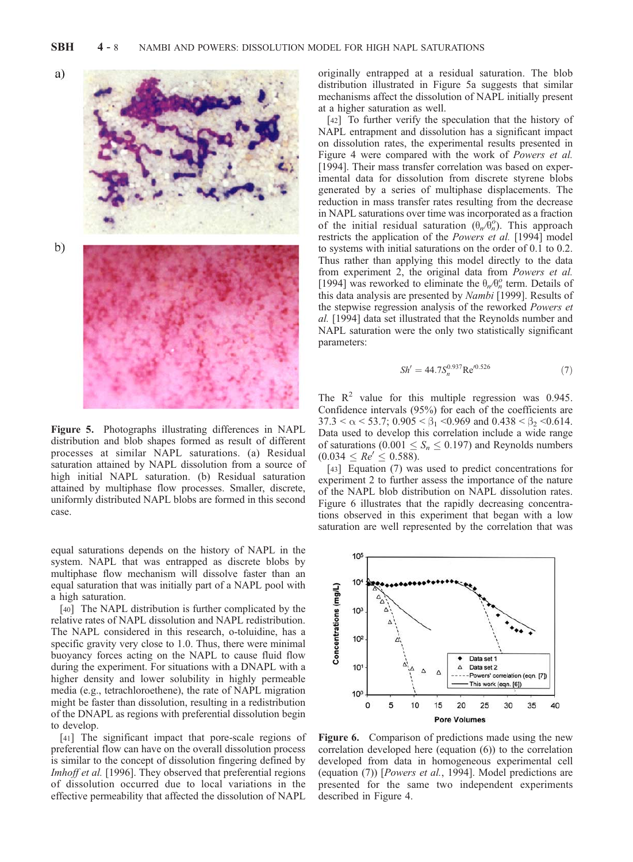

Figure 5. Photographs illustrating differences in NAPL distribution and blob shapes formed as result of different processes at similar NAPL saturations. (a) Residual saturation attained by NAPL dissolution from a source of high initial NAPL saturation. (b) Residual saturation attained by multiphase flow processes. Smaller, discrete, uniformly distributed NAPL blobs are formed in this second case.

equal saturations depends on the history of NAPL in the system. NAPL that was entrapped as discrete blobs by multiphase flow mechanism will dissolve faster than an equal saturation that was initially part of a NAPL pool with a high saturation.

[40] The NAPL distribution is further complicated by the relative rates of NAPL dissolution and NAPL redistribution. The NAPL considered in this research, o-toluidine, has a specific gravity very close to 1.0. Thus, there were minimal buoyancy forces acting on the NAPL to cause fluid flow during the experiment. For situations with a DNAPL with a higher density and lower solubility in highly permeable media (e.g., tetrachloroethene), the rate of NAPL migration might be faster than dissolution, resulting in a redistribution of the DNAPL as regions with preferential dissolution begin to develop.

[41] The significant impact that pore-scale regions of preferential flow can have on the overall dissolution process is similar to the concept of dissolution fingering defined by *Imhoff et al.* [1996]. They observed that preferential regions of dissolution occurred due to local variations in the effective permeability that affected the dissolution of NAPL

originally entrapped at a residual saturation. The blob distribution illustrated in Figure 5a suggests that similar mechanisms affect the dissolution of NAPL initially present at a higher saturation as well.

[42] To further verify the speculation that the history of NAPL entrapment and dissolution has a significant impact on dissolution rates, the experimental results presented in Figure 4 were compared with the work of *Powers et al.* [1994]. Their mass transfer correlation was based on experimental data for dissolution from discrete styrene blobs generated by a series of multiphase displacements. The reduction in mass transfer rates resulting from the decrease in NAPL saturations over time was incorporated as a fraction of the initial residual saturation  $(\theta_n/\hat{\theta}_n^o)$ . This approach restricts the application of the *Powers et al.* [1994] model to systems with initial saturations on the order of 0.1 to 0.2. Thus rather than applying this model directly to the data from experiment 2, the original data from *Powers et al.* [1994] was reworked to eliminate the  $\theta_n/\theta_n^o$  term. Details of this data analysis are presented by *Nambi* [1999]. Results of the stepwise regression analysis of the reworked *Powers et al.* [1994] data set illustrated that the Reynolds number and NAPL saturation were the only two statistically significant parameters:

$$
Sh' = 44.7 S_n^{0.937} \text{Re}^{0.526} \tag{7}
$$

The  $R^2$  value for this multiple regression was 0.945. Confidence intervals (95%) for each of the coefficients are  $37.3 < \alpha < 53.7$ ;  $0.905 < \beta_1 < 0.969$  and  $0.438 < \beta_2 < 0.614$ . Data used to develop this correlation include a wide range of saturations (0.001  $\leq S_n \leq 0.197$ ) and Reynolds numbers  $(0.034 < Re' < 0.588).$ 

[43] Equation (7) was used to predict concentrations for experiment 2 to further assess the importance of the nature of the NAPL blob distribution on NAPL dissolution rates. Figure 6 illustrates that the rapidly decreasing concentrations observed in this experiment that began with a low saturation are well represented by the correlation that was



Figure 6. Comparison of predictions made using the new correlation developed here (equation (6)) to the correlation developed from data in homogeneous experimental cell (equation (7)) [*Powers et al.*, 1994]. Model predictions are presented for the same two independent experiments described in Figure 4.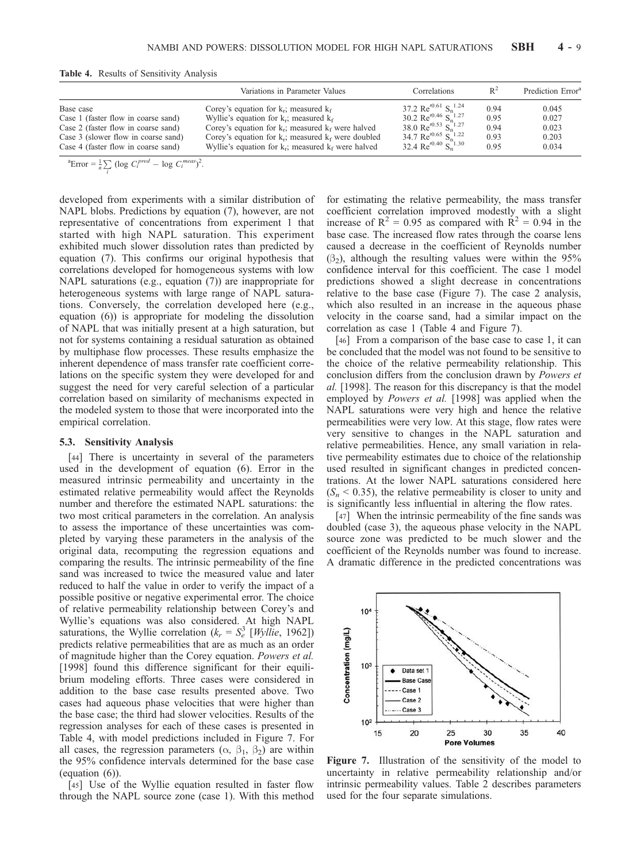|                                     | Variations in Parameter Values                           | Correlations                                                         | $R^2$ | Prediction Error <sup>a</sup> |
|-------------------------------------|----------------------------------------------------------|----------------------------------------------------------------------|-------|-------------------------------|
| Base case                           | Corey's equation for $k_r$ ; measured $k_f$              | 37.2 Re' <sup>0.61</sup> S <sub>n</sub> <sup>1.24</sup>              | 0.94  | 0.045                         |
| Case 1 (faster flow in coarse sand) | Wyllie's equation for $k_r$ ; measured $k_f$             | 30.2 Re $^{0.46}$ S <sub>n</sub> <sup>1.27</sup>                     | 0.95  | 0.027                         |
| Case 2 (faster flow in coarse sand) | Corey's equation for $k_r$ ; measured $k_f$ were halved  | 38.0 Re' <sup>0.53</sup> S <sub>n</sub> <sup>1.27</sup>              | 0.94  | 0.023                         |
| Case 3 (slower flow in coarse sand) | Corey's equation for $k_r$ ; measured $k_f$ were doubled | 34.7 Re <sup><math>(0.65</math></sup> S <sub>n</sub> <sup>1.22</sup> | 0.93  | 0.203                         |
| Case 4 (faster flow in coarse sand) | Wyllie's equation for $k_r$ ; measured $k_f$ were halved | 32.4 Re <sup><math>(0.40</math></sup> S <sub>n</sub> <sup>1.30</sup> | 0.95  | 0.034                         |

 ${}^{a}$ Error =  $\frac{1}{n} \sum_{i}$  (log  $C_i^{pred}$  – log  $C_i^{meas}$ )<sup>2</sup>.

developed from experiments with a similar distribution of NAPL blobs. Predictions by equation (7), however, are not representative of concentrations from experiment 1 that started with high NAPL saturation. This experiment exhibited much slower dissolution rates than predicted by equation (7). This confirms our original hypothesis that correlations developed for homogeneous systems with low NAPL saturations (e.g., equation (7)) are inappropriate for heterogeneous systems with large range of NAPL saturations. Conversely, the correlation developed here (e.g., equation (6)) is appropriate for modeling the dissolution of NAPL that was initially present at a high saturation, but not for systems containing a residual saturation as obtained by multiphase flow processes. These results emphasize the inherent dependence of mass transfer rate coefficient correlations on the specific system they were developed for and suggest the need for very careful selection of a particular correlation based on similarity of mechanisms expected in the modeled system to those that were incorporated into the empirical correlation.

#### 5.3. Sensitivity Analysis

[44] There is uncertainty in several of the parameters used in the development of equation (6). Error in the measured intrinsic permeability and uncertainty in the estimated relative permeability would affect the Reynolds number and therefore the estimated NAPL saturations: the two most critical parameters in the correlation. An analysis to assess the importance of these uncertainties was completed by varying these parameters in the analysis of the original data, recomputing the regression equations and comparing the results. The intrinsic permeability of the fine sand was increased to twice the measured value and later reduced to half the value in order to verify the impact of a possible positive or negative experimental error. The choice of relative permeability relationship between Corey's and Wyllie's equations was also considered. At high NAPL saturations, the Wyllie correlation  $(k_r = S_e^3$  [*Wyllie*, 1962]) predicts relative permeabilities that are as much as an order of magnitude higher than the Corey equation. *Powers et al.* [1998] found this difference significant for their equilibrium modeling efforts. Three cases were considered in addition to the base case results presented above. Two cases had aqueous phase velocities that were higher than the base case; the third had slower velocities. Results of the regression analyses for each of these cases is presented in Table 4, with model predictions included in Figure 7. For all cases, the regression parameters  $(\alpha, \beta_1, \beta_2)$  are within the 95% confidence intervals determined for the base case (equation (6)).

[45] Use of the Wyllie equation resulted in faster flow through the NAPL source zone (case 1). With this method for estimating the relative permeability, the mass transfer coefficient correlation improved modestly with a slight increase of  $R^2 = 0.95$  as compared with  $R^2 = 0.94$  in the base case. The increased flow rates through the coarse lens caused a decrease in the coefficient of Reynolds number  $(\beta_2)$ , although the resulting values were within the 95% confidence interval for this coefficient. The case 1 model predictions showed a slight decrease in concentrations relative to the base case (Figure 7). The case 2 analysis, which also resulted in an increase in the aqueous phase velocity in the coarse sand, had a similar impact on the correlation as case 1 (Table 4 and Figure 7).

[46] From a comparison of the base case to case 1, it can be concluded that the model was not found to be sensitive to the choice of the relative permeability relationship. This conclusion differs from the conclusion drawn by *Powers et al.* [1998]. The reason for this discrepancy is that the model employed by *Powers et al.* [1998] was applied when the NAPL saturations were very high and hence the relative permeabilities were very low. At this stage, flow rates were very sensitive to changes in the NAPL saturation and relative permeabilities. Hence, any small variation in relative permeability estimates due to choice of the relationship used resulted in significant changes in predicted concentrations. At the lower NAPL saturations considered here  $(S_n < 0.35)$ , the relative permeability is closer to unity and is significantly less influential in altering the flow rates.

[47] When the intrinsic permeability of the fine sands was doubled (case 3), the aqueous phase velocity in the NAPL source zone was predicted to be much slower and the coefficient of the Reynolds number was found to increase. A dramatic difference in the predicted concentrations was



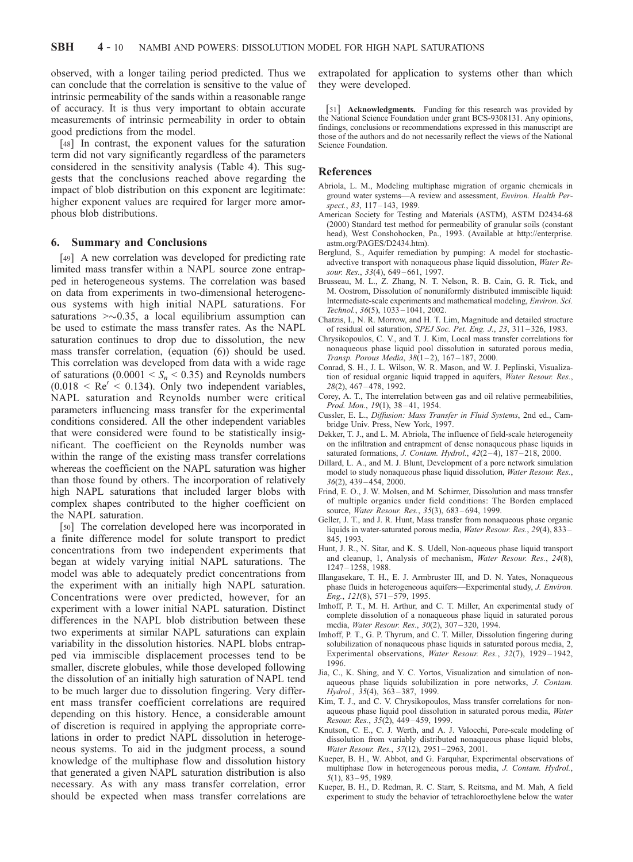observed, with a longer tailing period predicted. Thus we can conclude that the correlation is sensitive to the value of intrinsic permeability of the sands within a reasonable range of accuracy. It is thus very important to obtain accurate measurements of intrinsic permeability in order to obtain good predictions from the model.

[48] In contrast, the exponent values for the saturation term did not vary significantly regardless of the parameters considered in the sensitivity analysis (Table 4). This suggests that the conclusions reached above regarding the impact of blob distribution on this exponent are legitimate: higher exponent values are required for larger more amorphous blob distributions.

## 6. Summary and Conclusions

[49] A new correlation was developed for predicting rate limited mass transfer within a NAPL source zone entrapped in heterogeneous systems. The correlation was based on data from experiments in two-dimensional heterogeneous systems with high initial NAPL saturations. For saturations  $\geq 0.35$ , a local equilibrium assumption can be used to estimate the mass transfer rates. As the NAPL saturation continues to drop due to dissolution, the new mass transfer correlation, (equation (6)) should be used. This correlation was developed from data with a wide rage of saturations  $(0.0001 \leq S_n \leq 0.35)$  and Reynolds numbers  $(0.018 \, < \, Re^{\prime} \, < \, 0.134)$ . Only two independent variables, NAPL saturation and Reynolds number were critical parameters influencing mass transfer for the experimental conditions considered. All the other independent variables that were considered were found to be statistically insignificant. The coefficient on the Reynolds number was within the range of the existing mass transfer correlations whereas the coefficient on the NAPL saturation was higher than those found by others. The incorporation of relatively high NAPL saturations that included larger blobs with complex shapes contributed to the higher coefficient on the NAPL saturation.

[50] The correlation developed here was incorporated in a finite difference model for solute transport to predict concentrations from two independent experiments that began at widely varying initial NAPL saturations. The model was able to adequately predict concentrations from the experiment with an initially high NAPL saturation. Concentrations were over predicted, however, for an experiment with a lower initial NAPL saturation. Distinct differences in the NAPL blob distribution between these two experiments at similar NAPL saturations can explain variability in the dissolution histories. NAPL blobs entrapped via immiscible displacement processes tend to be smaller, discrete globules, while those developed following the dissolution of an initially high saturation of NAPL tend to be much larger due to dissolution fingering. Very different mass transfer coefficient correlations are required depending on this history. Hence, a considerable amount of discretion is required in applying the appropriate correlations in order to predict NAPL dissolution in heterogeneous systems. To aid in the judgment process, a sound knowledge of the multiphase flow and dissolution history that generated a given NAPL saturation distribution is also necessary. As with any mass transfer correlation, error should be expected when mass transfer correlations are extrapolated for application to systems other than which they were developed.

[51] Acknowledgments. Funding for this research was provided by the National Science Foundation under grant BCS-9308131. Any opinions, findings, conclusions or recommendations expressed in this manuscript are those of the authors and do not necessarily reflect the views of the National Science Foundation.

## References

- Abriola, L. M., Modeling multiphase migration of organic chemicals in ground water systems—A review and assessment, *Environ. Health Perspect.*, *83*, 117 – 143, 1989.
- American Society for Testing and Materials (ASTM), ASTM D2434-68 (2000) Standard test method for permeability of granular soils (constant head), West Conshohocken, Pa., 1993. (Available at http://enterprise. astm.org/PAGES/D2434.htm).
- Berglund, S., Aquifer remediation by pumping: A model for stochasticadvective transport with nonaqueous phase liquid dissolution, *Water Resour. Res.*, *33*(4), 649 – 661, 1997.
- Brusseau, M. L., Z. Zhang, N. T. Nelson, R. B. Cain, G. R. Tick, and M. Oostrom, Dissolution of nonuniformly distributed immiscible liquid: Intermediate-scale experiments and mathematical modeling, *Environ. Sci. Technol.*, *36*(5), 1033 – 1041, 2002.
- Chatzis, I., N. R. Morrow, and H. T. Lim, Magnitude and detailed structure of residual oil saturation, *SPEJ Soc. Pet. Eng. J.*, *23*, 311 – 326, 1983.
- Chrysikopoulos, C. V., and T. J. Kim, Local mass transfer correlations for nonaqueous phase liquid pool dissolution in saturated porous media, *Transp. Porous Media, 38*(1-2), 167-187, 2000.
- Conrad, S. H., J. L. Wilson, W. R. Mason, and W. J. Peplinski, Visualization of residual organic liquid trapped in aquifers, *Water Resour. Res.*, *28*(2), 467 – 478, 1992.
- Corey, A. T., The interrelation between gas and oil relative permeabilities, *Prod. Mon.*, *19*(1), 38 – 41, 1954.
- Cussler, E. L., *Diffusion: Mass Transfer in Fluid Systems*, 2nd ed., Cambridge Univ. Press, New York, 1997.
- Dekker, T. J., and L. M. Abriola, The influence of field-scale heterogeneity on the infiltration and entrapment of dense nonaqueous phase liquids in saturated formations, *J. Contam. Hydrol.*,  $42(2-4)$ ,  $187-218$ , 2000.
- Dillard, L. A., and M. J. Blunt, Development of a pore network simulation model to study nonaqueous phase liquid dissolution, *Water Resour. Res.*, *36*(2), 439 – 454, 2000.
- Frind, E. O., J. W. Molsen, and M. Schirmer, Dissolution and mass transfer of multiple organics under field conditions: The Borden emplaced source, *Water Resour. Res.*, *35*(3), 683 – 694, 1999.
- Geller, J. T., and J. R. Hunt, Mass transfer from nonaqueous phase organic liquids in water-saturated porous media, *Water Resour. Res.*, *29*(4), 833 – 845, 1993.
- Hunt, J. R., N. Sitar, and K. S. Udell, Non-aqueous phase liquid transport and cleanup, 1, Analysis of mechanism, *Water Resour. Res.*, *24*(8), 1247 – 1258, 1988.
- Illangasekare, T. H., E. J. Armbruster III, and D. N. Yates, Nonaqueous phase fluids in heterogeneous aquifers—Experimental study, *J. Environ. Eng.*, *121*(8), 571 – 579, 1995.
- Imhoff, P. T., M. H. Arthur, and C. T. Miller, An experimental study of complete dissolution of a nonaqueous phase liquid in saturated porous media, *Water Resour. Res.*, *30*(2), 307 – 320, 1994.
- Imhoff, P. T., G. P. Thyrum, and C. T. Miller, Dissolution fingering during solubilization of nonaqueous phase liquids in saturated porous media, 2, Experimental observations, *Water Resour. Res.*, *32*(7), 1929 – 1942, 1996.
- Jia, C., K. Shing, and Y. C. Yortos, Visualization and simulation of nonaqueous phase liquids solubilization in pore networks, *J. Contam. Hydrol.*, *35*(4), 363 – 387, 1999.
- Kim, T. J., and C. V. Chrysikopoulos, Mass transfer correlations for nonaqueous phase liquid pool dissolution in saturated porous media, *Water Resour. Res.*, *35*(2), 449 – 459, 1999.
- Knutson, C. E., C. J. Werth, and A. J. Valocchi, Pore-scale modeling of dissolution from variably distributed nonaqueous phase liquid blobs, *Water Resour. Res.*, *37*(12), 2951 – 2963, 2001.
- Kueper, B. H., W. Abbot, and G. Farquhar, Experimental observations of multiphase flow in heterogeneous porous media, *J. Contam. Hydrol.*, *5*(1), 83 – 95, 1989.
- Kueper, B. H., D. Redman, R. C. Starr, S. Reitsma, and M. Mah, A field experiment to study the behavior of tetrachloroethylene below the water